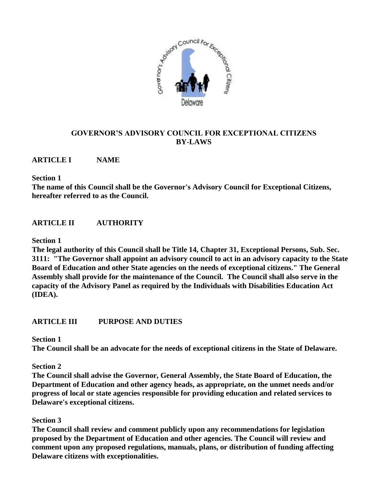

# **GOVERNOR'S ADVISORY COUNCIL FOR EXCEPTIONAL CITIZENS BY-LAWS**

## **ARTICLE I NAME**

#### **Section 1**

**The name of this Council shall be the Governor's Advisory Council for Exceptional Citizens, hereafter referred to as the Council.**

# **ARTICLE II AUTHORITY**

## **Section 1**

**The legal authority of this Council shall be Title 14, Chapter 31, Exceptional Persons, Sub. Sec. 3111: "The Governor shall appoint an advisory council to act in an advisory capacity to the State Board of Education and other State agencies on the needs of exceptional citizens." The General Assembly shall provide for the maintenance of the Council. The Council shall also serve in the capacity of the Advisory Panel as required by the Individuals with Disabilities Education Act (IDEA).**

## **ARTICLE III PURPOSE AND DUTIES**

**Section 1** 

**The Council shall be an advocate for the needs of exceptional citizens in the State of Delaware.**

## **Section 2**

**The Council shall advise the Governor, General Assembly, the State Board of Education, the Department of Education and other agency heads, as appropriate, on the unmet needs and/or progress of local or state agencies responsible for providing education and related services to Delaware's exceptional citizens.**

## **Section 3**

**The Council shall review and comment publicly upon any recommendations for legislation proposed by the Department of Education and other agencies. The Council will review and comment upon any proposed regulations, manuals, plans, or distribution of funding affecting Delaware citizens with exceptionalities.**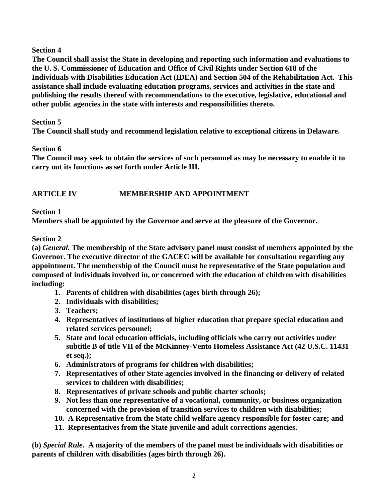**The Council shall assist the State in developing and reporting such information and evaluations to the U. S. Commissioner of Education and Office of Civil Rights under Section 618 of the Individuals with Disabilities Education Act (IDEA) and Section 504 of the Rehabilitation Act. This assistance shall include evaluating education programs, services and activities in the state and publishing the results thereof with recommendations to the executive, legislative, educational and other public agencies in the state with interests and responsibilities thereto.**

## **Section 5**

**The Council shall study and recommend legislation relative to exceptional citizens in Delaware.**

## **Section 6**

**The Council may seek to obtain the services of such personnel as may be necessary to enable it to carry out its functions as set forth under Article III.**

# **ARTICLE IV MEMBERSHIP AND APPOINTMENT**

## **Section 1**

**Members shall be appointed by the Governor and serve at the pleasure of the Governor.**

## **Section 2**

**(a)** *General.* **The membership of the State advisory panel must consist of members appointed by the Governor. The executive director of the GACEC will be available for consultation regarding any appointment. The membership of the Council must be representative of the State population and composed of individuals involved in, or concerned with the education of children with disabilities including:**

- **1. Parents of children with disabilities (ages birth through 26);**
- **2. Individuals with disabilities;**
- **3. Teachers;**
- **4. Representatives of institutions of higher education that prepare special education and related services personnel;**
- **5. State and local education officials, including officials who carry out activities under subtitle B of title VII of the McKinney-Vento Homeless Assistance Act (42 U.S.C. 11431 et seq.);**
- **6. Administrators of programs for children with disabilities;**
- **7. Representatives of other State agencies involved in the financing or delivery of related services to children with disabilities;**
- **8. Representatives of private schools and public charter schools;**
- **9. Not less than one representative of a vocational, community, or business organization concerned with the provision of transition services to children with disabilities;**
- **10. A Representative from the State child welfare agency responsible for foster care; and**
- **11. Representatives from the State juvenile and adult corrections agencies.**

**(b)** *Special Rule.* **A majority of the members of the panel must be individuals with disabilities or parents of children with disabilities (ages birth through 26).**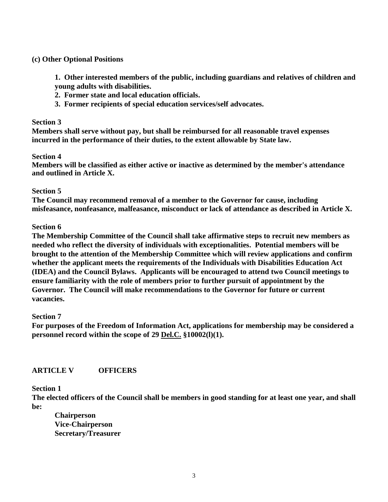### **(c) Other Optional Positions**

**1. Other interested members of the public, including guardians and relatives of children and young adults with disabilities.**

- **2. Former state and local education officials.**
- **3. Former recipients of special education services/self advocates.**

#### **Section 3**

**Members shall serve without pay, but shall be reimbursed for all reasonable travel expenses incurred in the performance of their duties, to the extent allowable by State law.**

## **Section 4**

**Members will be classified as either active or inactive as determined by the member's attendance and outlined in Article X.**

## **Section 5**

**The Council may recommend removal of a member to the Governor for cause, including misfeasance, nonfeasance, malfeasance, misconduct or lack of attendance as described in Article X.**

## **Section 6**

**The Membership Committee of the Council shall take affirmative steps to recruit new members as needed who reflect the diversity of individuals with exceptionalities. Potential members will be brought to the attention of the Membership Committee which will review applications and confirm whether the applicant meets the requirements of the Individuals with Disabilities Education Act (IDEA) and the Council Bylaws. Applicants will be encouraged to attend two Council meetings to ensure familiarity with the role of members prior to further pursuit of appointment by the Governor. The Council will make recommendations to the Governor for future or current vacancies.**

#### **Section 7**

**For purposes of the Freedom of Information Act, applications for membership may be considered a personnel record within the scope of 29 Del.C. §10002(l)(1).**

## **ARTICLE V OFFICERS**

#### **Section 1**

**The elected officers of the Council shall be members in good standing for at least one year, and shall be:**

**Chairperson Vice-Chairperson Secretary/Treasurer**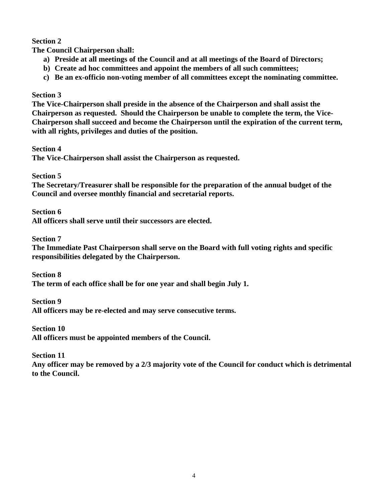**The Council Chairperson shall:**

- **a) Preside at all meetings of the Council and at all meetings of the Board of Directors;**
- **b) Create ad hoc committees and appoint the members of all such committees;**
- **c) Be an ex-officio non-voting member of all committees except the nominating committee.**

## **Section 3**

**The Vice-Chairperson shall preside in the absence of the Chairperson and shall assist the Chairperson as requested. Should the Chairperson be unable to complete the term, the Vice-Chairperson shall succeed and become the Chairperson until the expiration of the current term, with all rights, privileges and duties of the position.** 

**Section 4** 

**The Vice-Chairperson shall assist the Chairperson as requested.**

**Section 5**

**The Secretary/Treasurer shall be responsible for the preparation of the annual budget of the Council and oversee monthly financial and secretarial reports.**

**Section 6**

**All officers shall serve until their successors are elected.**

**Section 7**

**The Immediate Past Chairperson shall serve on the Board with full voting rights and specific responsibilities delegated by the Chairperson.**

**Section 8 The term of each office shall be for one year and shall begin July 1.**

**Section 9**

**All officers may be re-elected and may serve consecutive terms.**

**Section 10**

**All officers must be appointed members of the Council.**

**Section 11**

**Any officer may be removed by a 2/3 majority vote of the Council for conduct which is detrimental to the Council.**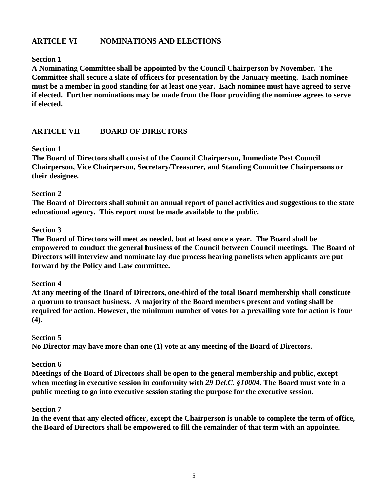## **ARTICLE VI NOMINATIONS AND ELECTIONS**

## **Section 1**

**A Nominating Committee shall be appointed by the Council Chairperson by November. The Committee shall secure a slate of officers for presentation by the January meeting. Each nominee must be a member in good standing for at least one year. Each nominee must have agreed to serve if elected. Further nominations may be made from the floor providing the nominee agrees to serve if elected.**

## **ARTICLE VII BOARD OF DIRECTORS**

#### **Section 1**

**The Board of Directors shall consist of the Council Chairperson, Immediate Past Council Chairperson, Vice Chairperson, Secretary/Treasurer, and Standing Committee Chairpersons or their designee.**

#### **Section 2**

**The Board of Directors shall submit an annual report of panel activities and suggestions to the state educational agency. This report must be made available to the public.**

#### **Section 3**

**The Board of Directors will meet as needed, but at least once a year. The Board shall be empowered to conduct the general business of the Council between Council meetings. The Board of Directors will interview and nominate lay due process hearing panelists when applicants are put forward by the Policy and Law committee.** 

#### **Section 4**

**At any meeting of the Board of Directors, one-third of the total Board membership shall constitute a quorum to transact business. A majority of the Board members present and voting shall be required for action. However, the minimum number of votes for a prevailing vote for action is four (4).**

#### **Section 5**

**No Director may have more than one (1) vote at any meeting of the Board of Directors.**

#### **Section 6**

**Meetings of the Board of Directors shall be open to the general membership and public, except when meeting in executive session in conformity with** *29 Del.C. §10004***. The Board must vote in a public meeting to go into executive session stating the purpose for the executive session.**

#### **Section 7**

**In the event that any elected officer, except the Chairperson is unable to complete the term of office, the Board of Directors shall be empowered to fill the remainder of that term with an appointee.**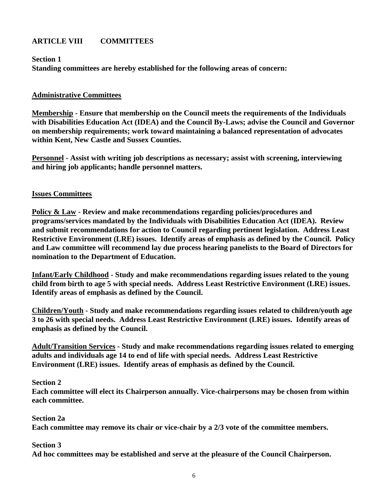# **ARTICLE VIII COMMITTEES**

**Section 1 Standing committees are hereby established for the following areas of concern:**

## **Administrative Committees**

**Membership - Ensure that membership on the Council meets the requirements of the Individuals with Disabilities Education Act (IDEA) and the Council By-Laws; advise the Council and Governor on membership requirements; work toward maintaining a balanced representation of advocates within Kent, New Castle and Sussex Counties.** 

**Personnel - Assist with writing job descriptions as necessary; assist with screening, interviewing and hiring job applicants; handle personnel matters.**

## **Issues Committees**

**Policy & Law - Review and make recommendations regarding policies/procedures and programs/services mandated by the Individuals with Disabilities Education Act (IDEA). Review and submit recommendations for action to Council regarding pertinent legislation. Address Least Restrictive Environment (LRE) issues. Identify areas of emphasis as defined by the Council. Policy and Law committee will recommend lay due process hearing panelists to the Board of Directors for nomination to the Department of Education.** 

**Infant/Early Childhood - Study and make recommendations regarding issues related to the young child from birth to age 5 with special needs. Address Least Restrictive Environment (LRE) issues. Identify areas of emphasis as defined by the Council.**

**Children/Youth - Study and make recommendations regarding issues related to children/youth age 3 to 26 with special needs. Address Least Restrictive Environment (LRE) issues. Identify areas of emphasis as defined by the Council.**

**Adult/Transition Services - Study and make recommendations regarding issues related to emerging adults and individuals age 14 to end of life with special needs. Address Least Restrictive Environment (LRE) issues. Identify areas of emphasis as defined by the Council.**

#### **Section 2**

**Each committee will elect its Chairperson annually. Vice-chairpersons may be chosen from within each committee.**

## **Section 2a**

**Each committee may remove its chair or vice-chair by a 2/3 vote of the committee members.**

#### **Section 3**

**Ad hoc committees may be established and serve at the pleasure of the Council Chairperson.**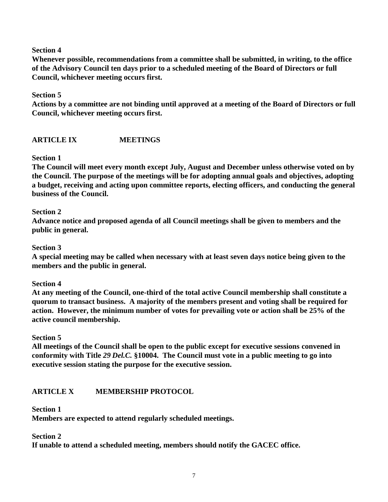**Whenever possible, recommendations from a committee shall be submitted, in writing, to the office of the Advisory Council ten days prior to a scheduled meeting of the Board of Directors or full Council, whichever meeting occurs first.**

## **Section 5**

**Actions by a committee are not binding until approved at a meeting of the Board of Directors or full Council, whichever meeting occurs first.**

## **ARTICLE IX MEETINGS**

## **Section 1**

**The Council will meet every month except July, August and December unless otherwise voted on by the Council. The purpose of the meetings will be for adopting annual goals and objectives, adopting a budget, receiving and acting upon committee reports, electing officers, and conducting the general business of the Council.**

## **Section 2**

**Advance notice and proposed agenda of all Council meetings shall be given to members and the public in general.**

## **Section 3**

**A special meeting may be called when necessary with at least seven days notice being given to the members and the public in general.**

## **Section 4**

**At any meeting of the Council, one-third of the total active Council membership shall constitute a quorum to transact business. A majority of the members present and voting shall be required for action. However, the minimum number of votes for prevailing vote or action shall be 25% of the active council membership.** 

## **Section 5**

**All meetings of the Council shall be open to the public except for executive sessions convened in conformity with Title** *29 Del.C.* **§10004. The Council must vote in a public meeting to go into executive session stating the purpose for the executive session.**

## **ARTICLE X MEMBERSHIP PROTOCOL**

## **Section 1**

**Members are expected to attend regularly scheduled meetings.**

**Section 2**

**If unable to attend a scheduled meeting, members should notify the GACEC office.**